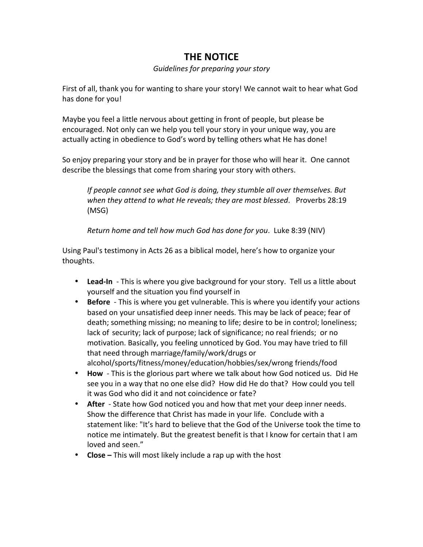## **THE NOTICE**

*Guidelines for preparing your story* 

First of all, thank you for wanting to share your story! We cannot wait to hear what God has done for you!

Maybe you feel a little nervous about getting in front of people, but please be encouraged. Not only can we help you tell your story in your unique way, you are actually acting in obedience to God's word by telling others what He has done!

So enjoy preparing your story and be in prayer for those who will hear it. One cannot describe the blessings that come from sharing your story with others.

*If people cannot see what God is doing, they stumble all over themselves. But when they attend to what He reveals; they are most blessed.* Proverbs 28:19 (MSG)

*Return home and tell how much God has done for you.* Luke 8:39 (NIV)

Using Paul's testimony in Acts 26 as a biblical model, here's how to organize your thoughts.

- Lead-In This is where you give background for your story. Tell us a little about yourself and the situation you find yourself in
- **Before** This is where you get vulnerable. This is where you identify your actions based on your unsatisfied deep inner needs. This may be lack of peace; fear of death; something missing; no meaning to life; desire to be in control; loneliness; lack of security; lack of purpose; lack of significance; no real friends; or no motivation. Basically, you feeling unnoticed by God. You may have tried to fill that need through marriage/family/work/drugs or alcohol/sports/fitness/money/education/hobbies/sex/wrong friends/food
- **How** This is the glorious part where we talk about how God noticed us. Did He see you in a way that no one else did? How did He do that? How could you tell it was God who did it and not coincidence or fate?
- After State how God noticed you and how that met your deep inner needs. Show the difference that Christ has made in your life. Conclude with a statement like: "It's hard to believe that the God of the Universe took the time to notice me intimately. But the greatest benefit is that I know for certain that I am loved and seen."
- **Close** This will most likely include a rap up with the host